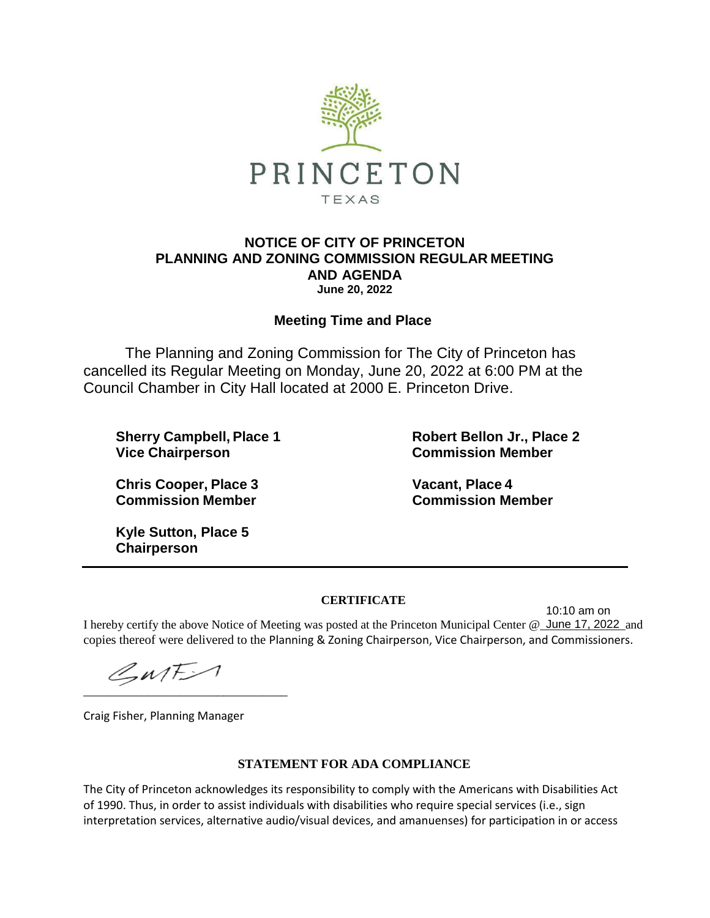

## **NOTICE OF CITY OF PRINCETON PLANNING AND ZONING COMMISSION REGULAR MEETING AND AGENDA June 20, 2022**

## **Meeting Time and Place**

The Planning and Zoning Commission for The City of Princeton has cancelled its Regular Meeting on Monday, June 20, 2022 at 6:00 PM at the Council Chamber in City Hall located at 2000 E. Princeton Drive.

**Vice Chairperson Commission Member**

**Sherry Campbell, Place 1 Robert Bellon Jr., Place 2**

**Chris Cooper, Place 3 Vacant, Place 4 Commission Member Commission Member**

**Kyle Sutton, Place 5 Chairperson**

## **CERTIFICATE**

I hereby certify the above Notice of Meeting was posted at the Princeton Municipal Center @ June 17, 2022 and copies thereof were delivered to the Planning & Zoning Chairperson, Vice Chairperson, and Commissioners. 10:10 am on

 $\mathcal{L}_{M}$ F $>1$ \_\_\_\_\_\_\_\_\_\_\_\_\_\_\_\_\_\_\_\_\_\_\_\_\_\_\_\_\_\_\_\_

Craig Fisher, Planning Manager

## **STATEMENT FOR ADA COMPLIANCE**

The City of Princeton acknowledges its responsibility to comply with the Americans with Disabilities Act of 1990. Thus, in order to assist individuals with disabilities who require special services (i.e., sign interpretation services, alternative audio/visual devices, and amanuenses) for participation in or access